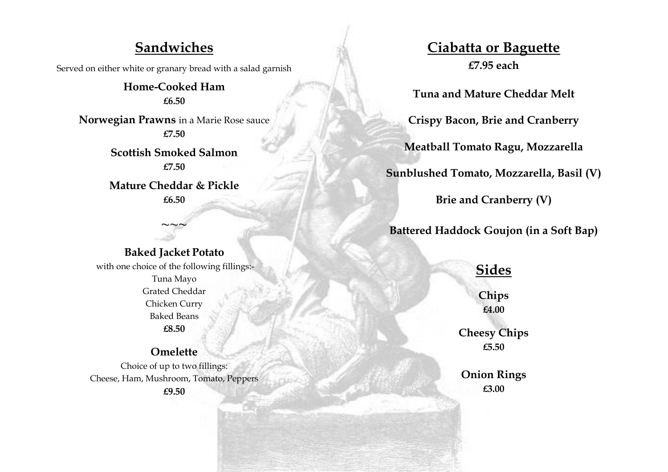### **Sandwiches**

Served on either white or granary bread with a salad garnish

**Home-Cooked Ham £6.50**

**Norwegian Prawns** in a Marie Rose sauce **£7.50**

> **Scottish Smoked Salmon £7.50**

**Mature Cheddar & Pickle £6.50**

#### **Baked Jacket Potato**

 $\sim$ ~~

with one choice of the following fillings:- Tuna Mayo Grated Cheddar Chicken Curry Baked Beans **£8.50**

**Omelette** Choice of up to two fillings: Cheese, Ham, Mushroom, Tomato, Peppers **£9.50**

# **Ciabatta or Baguette £7.95 each**

**Tuna and Mature Cheddar Melt**

**Crispy Bacon, Brie and Cranberry** 

**Meatball Tomato Ragu, Mozzarella**

**Sunblushed Tomato, Mozzarella, Basil (V)**

**Brie and Cranberry (V)**

**Battered Haddock Goujon (in a Soft Bap)** 

# **Sides**

**Chips £4.00**

**Cheesy Chips £5.50**

**Onion Rings £3.00**